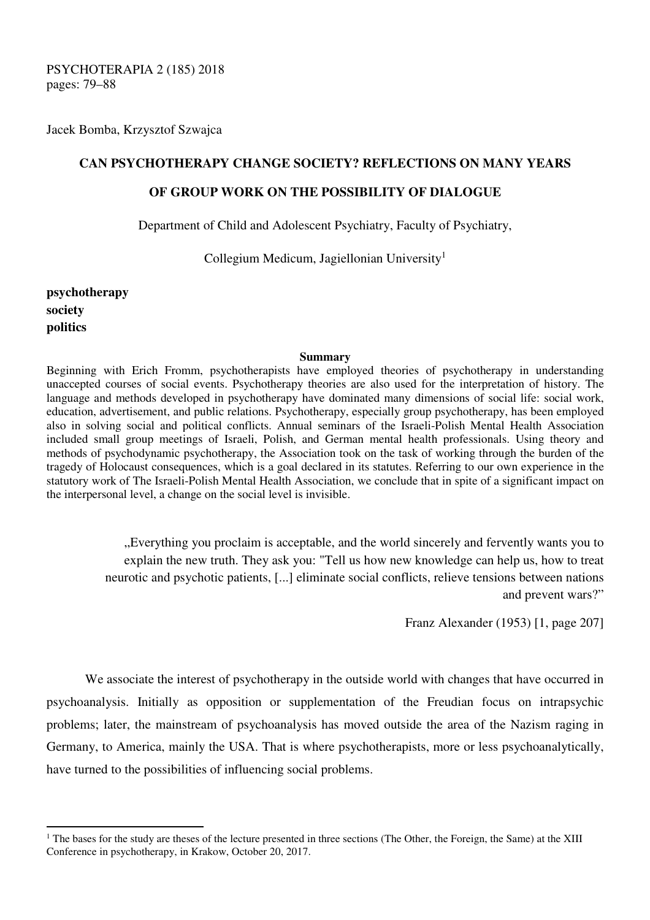PSYCHOTERAPIA 2 (185) 2018 pages: 79–88

Jacek Bomba, Krzysztof Szwajca

## **CAN PSYCHOTHERAPY CHANGE SOCIETY? REFLECTIONS ON MANY YEARS**

## **OF GROUP WORK ON THE POSSIBILITY OF DIALOGUE**

Department of Child and Adolescent Psychiatry, Faculty of Psychiatry,

Collegium Medicum, Jagiellonian University<sup>1</sup>

**psychotherapy society politics** 

 $\overline{a}$ 

## **Summary**

Beginning with Erich Fromm, psychotherapists have employed theories of psychotherapy in understanding unaccepted courses of social events. Psychotherapy theories are also used for the interpretation of history. The language and methods developed in psychotherapy have dominated many dimensions of social life: social work, education, advertisement, and public relations. Psychotherapy, especially group psychotherapy, has been employed also in solving social and political conflicts. Annual seminars of the Israeli-Polish Mental Health Association included small group meetings of Israeli, Polish, and German mental health professionals. Using theory and methods of psychodynamic psychotherapy, the Association took on the task of working through the burden of the tragedy of Holocaust consequences, which is a goal declared in its statutes. Referring to our own experience in the statutory work of The Israeli-Polish Mental Health Association, we conclude that in spite of a significant impact on the interpersonal level, a change on the social level is invisible.

> "Everything you proclaim is acceptable, and the world sincerely and fervently wants you to explain the new truth. They ask you: "Tell us how new knowledge can help us, how to treat neurotic and psychotic patients, [...] eliminate social conflicts, relieve tensions between nations and prevent wars?"

> > Franz Alexander (1953) [1, page 207]

We associate the interest of psychotherapy in the outside world with changes that have occurred in psychoanalysis. Initially as opposition or supplementation of the Freudian focus on intrapsychic problems; later, the mainstream of psychoanalysis has moved outside the area of the Nazism raging in Germany, to America, mainly the USA. That is where psychotherapists, more or less psychoanalytically, have turned to the possibilities of influencing social problems.

<sup>&</sup>lt;sup>1</sup> The bases for the study are theses of the lecture presented in three sections (The Other, the Foreign, the Same) at the XIII Conference in psychotherapy, in Krakow, October 20, 2017.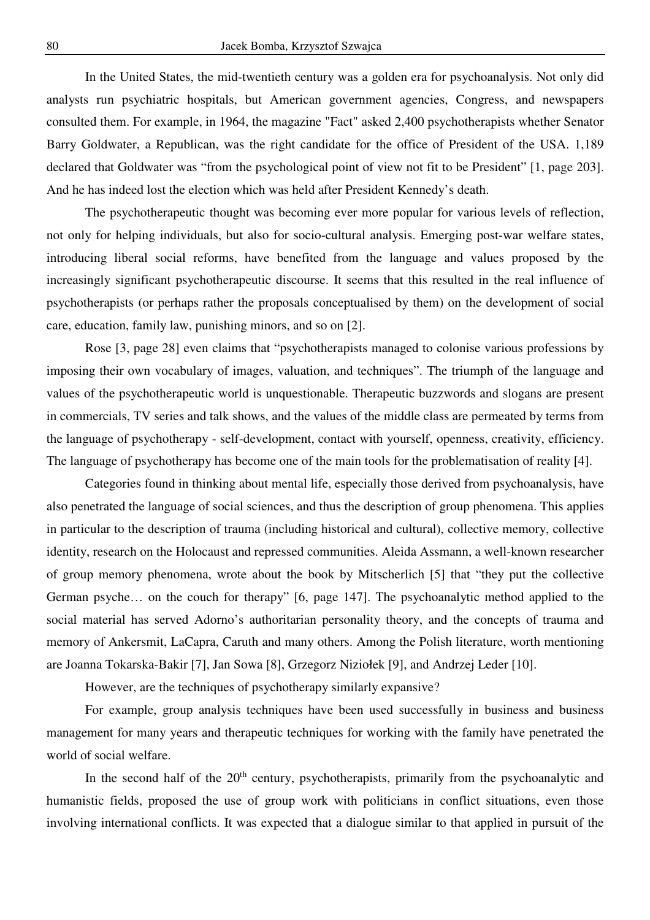In the United States, the mid-twentieth century was a golden era for psychoanalysis. Not only did analysts run psychiatric hospitals, but American government agencies, Congress, and newspapers consulted them. For example, in 1964, the magazine "Fact" asked 2,400 psychotherapists whether Senator Barry Goldwater, a Republican, was the right candidate for the office of President of the USA. 1,189 declared that Goldwater was "from the psychological point of view not fit to be President" [1, page 203]. And he has indeed lost the election which was held after President Kennedy's death.

The psychotherapeutic thought was becoming ever more popular for various levels of reflection, not only for helping individuals, but also for socio-cultural analysis. Emerging post-war welfare states, introducing liberal social reforms, have benefited from the language and values proposed by the increasingly significant psychotherapeutic discourse. It seems that this resulted in the real influence of psychotherapists (or perhaps rather the proposals conceptualised by them) on the development of social care, education, family law, punishing minors, and so on [2].

Rose [3, page 28] even claims that "psychotherapists managed to colonise various professions by imposing their own vocabulary of images, valuation, and techniques". The triumph of the language and values of the psychotherapeutic world is unquestionable. Therapeutic buzzwords and slogans are present in commercials, TV series and talk shows, and the values of the middle class are permeated by terms from the language of psychotherapy - self-development, contact with yourself, openness, creativity, efficiency. The language of psychotherapy has become one of the main tools for the problematisation of reality [4].

Categories found in thinking about mental life, especially those derived from psychoanalysis, have also penetrated the language of social sciences, and thus the description of group phenomena. This applies in particular to the description of trauma (including historical and cultural), collective memory, collective identity, research on the Holocaust and repressed communities. Aleida Assmann, a well-known researcher of group memory phenomena, wrote about the book by Mitscherlich [5] that "they put the collective German psyche… on the couch for therapy" [6, page 147]. The psychoanalytic method applied to the social material has served Adorno's authoritarian personality theory, and the concepts of trauma and memory of Ankersmit, LaCapra, Caruth and many others. Among the Polish literature, worth mentioning are Joanna Tokarska-Bakir [7], Jan Sowa [8], Grzegorz Niziołek [9], and Andrzej Leder [10].

However, are the techniques of psychotherapy similarly expansive?

For example, group analysis techniques have been used successfully in business and business management for many years and therapeutic techniques for working with the family have penetrated the world of social welfare.

In the second half of the  $20<sup>th</sup>$  century, psychotherapists, primarily from the psychoanalytic and humanistic fields, proposed the use of group work with politicians in conflict situations, even those involving international conflicts. It was expected that a dialogue similar to that applied in pursuit of the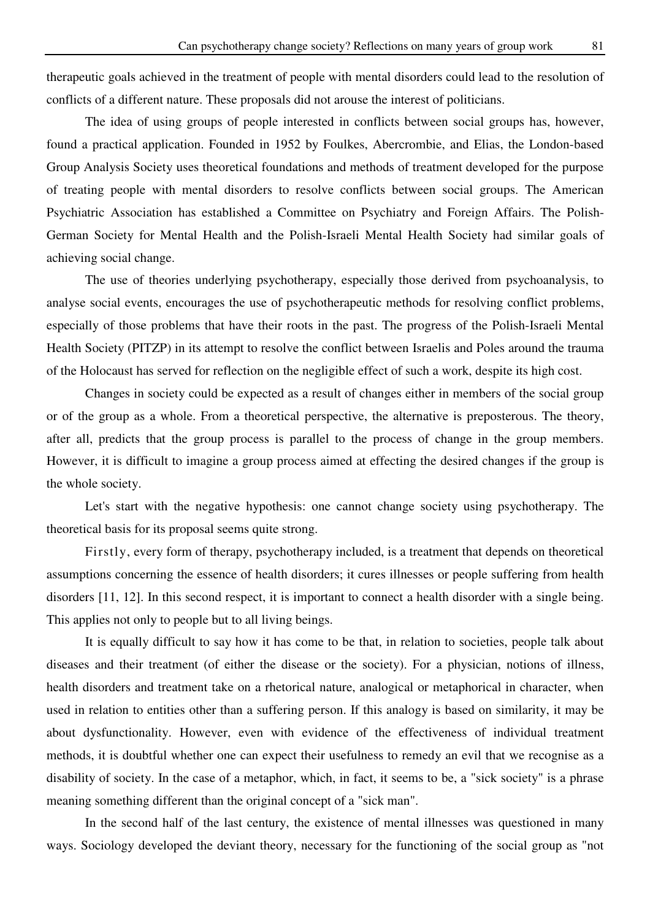therapeutic goals achieved in the treatment of people with mental disorders could lead to the resolution of conflicts of a different nature. These proposals did not arouse the interest of politicians.

The idea of using groups of people interested in conflicts between social groups has, however, found a practical application. Founded in 1952 by Foulkes, Abercrombie, and Elias, the London-based Group Analysis Society uses theoretical foundations and methods of treatment developed for the purpose of treating people with mental disorders to resolve conflicts between social groups. The American Psychiatric Association has established a Committee on Psychiatry and Foreign Affairs. The Polish-German Society for Mental Health and the Polish-Israeli Mental Health Society had similar goals of achieving social change.

The use of theories underlying psychotherapy, especially those derived from psychoanalysis, to analyse social events, encourages the use of psychotherapeutic methods for resolving conflict problems, especially of those problems that have their roots in the past. The progress of the Polish-Israeli Mental Health Society (PITZP) in its attempt to resolve the conflict between Israelis and Poles around the trauma of the Holocaust has served for reflection on the negligible effect of such a work, despite its high cost.

Changes in society could be expected as a result of changes either in members of the social group or of the group as a whole. From a theoretical perspective, the alternative is preposterous. The theory, after all, predicts that the group process is parallel to the process of change in the group members. However, it is difficult to imagine a group process aimed at effecting the desired changes if the group is the whole society.

Let's start with the negative hypothesis: one cannot change society using psychotherapy. The theoretical basis for its proposal seems quite strong.

Firstly, every form of therapy, psychotherapy included, is a treatment that depends on theoretical assumptions concerning the essence of health disorders; it cures illnesses or people suffering from health disorders [11, 12]. In this second respect, it is important to connect a health disorder with a single being. This applies not only to people but to all living beings.

It is equally difficult to say how it has come to be that, in relation to societies, people talk about diseases and their treatment (of either the disease or the society). For a physician, notions of illness, health disorders and treatment take on a rhetorical nature, analogical or metaphorical in character, when used in relation to entities other than a suffering person. If this analogy is based on similarity, it may be about dysfunctionality. However, even with evidence of the effectiveness of individual treatment methods, it is doubtful whether one can expect their usefulness to remedy an evil that we recognise as a disability of society. In the case of a metaphor, which, in fact, it seems to be, a "sick society" is a phrase meaning something different than the original concept of a "sick man".

In the second half of the last century, the existence of mental illnesses was questioned in many ways. Sociology developed the deviant theory, necessary for the functioning of the social group as "not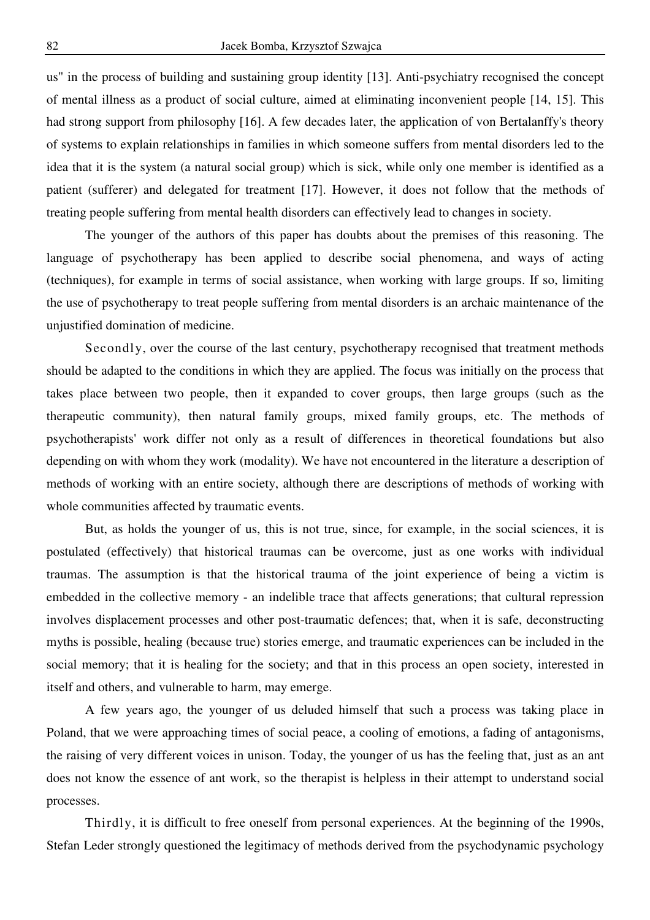us" in the process of building and sustaining group identity [13]. Anti-psychiatry recognised the concept of mental illness as a product of social culture, aimed at eliminating inconvenient people [14, 15]. This had strong support from philosophy [16]. A few decades later, the application of von Bertalanffy's theory of systems to explain relationships in families in which someone suffers from mental disorders led to the idea that it is the system (a natural social group) which is sick, while only one member is identified as a patient (sufferer) and delegated for treatment [17]. However, it does not follow that the methods of treating people suffering from mental health disorders can effectively lead to changes in society.

The younger of the authors of this paper has doubts about the premises of this reasoning. The language of psychotherapy has been applied to describe social phenomena, and ways of acting (techniques), for example in terms of social assistance, when working with large groups. If so, limiting the use of psychotherapy to treat people suffering from mental disorders is an archaic maintenance of the unjustified domination of medicine.

Secondly, over the course of the last century, psychotherapy recognised that treatment methods should be adapted to the conditions in which they are applied. The focus was initially on the process that takes place between two people, then it expanded to cover groups, then large groups (such as the therapeutic community), then natural family groups, mixed family groups, etc. The methods of psychotherapists' work differ not only as a result of differences in theoretical foundations but also depending on with whom they work (modality). We have not encountered in the literature a description of methods of working with an entire society, although there are descriptions of methods of working with whole communities affected by traumatic events.

But, as holds the younger of us, this is not true, since, for example, in the social sciences, it is postulated (effectively) that historical traumas can be overcome, just as one works with individual traumas. The assumption is that the historical trauma of the joint experience of being a victim is embedded in the collective memory - an indelible trace that affects generations; that cultural repression involves displacement processes and other post-traumatic defences; that, when it is safe, deconstructing myths is possible, healing (because true) stories emerge, and traumatic experiences can be included in the social memory; that it is healing for the society; and that in this process an open society, interested in itself and others, and vulnerable to harm, may emerge.

A few years ago, the younger of us deluded himself that such a process was taking place in Poland, that we were approaching times of social peace, a cooling of emotions, a fading of antagonisms, the raising of very different voices in unison. Today, the younger of us has the feeling that, just as an ant does not know the essence of ant work, so the therapist is helpless in their attempt to understand social processes.

Thirdly, it is difficult to free oneself from personal experiences. At the beginning of the 1990s, Stefan Leder strongly questioned the legitimacy of methods derived from the psychodynamic psychology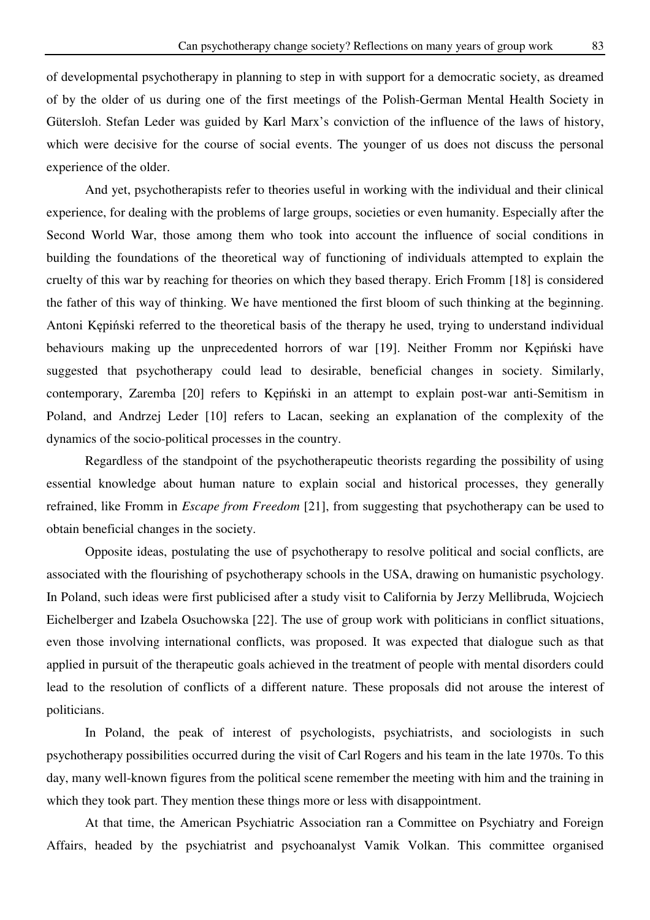of developmental psychotherapy in planning to step in with support for a democratic society, as dreamed of by the older of us during one of the first meetings of the Polish-German Mental Health Society in Gütersloh. Stefan Leder was guided by Karl Marx's conviction of the influence of the laws of history, which were decisive for the course of social events. The younger of us does not discuss the personal experience of the older.

And yet, psychotherapists refer to theories useful in working with the individual and their clinical experience, for dealing with the problems of large groups, societies or even humanity. Especially after the Second World War, those among them who took into account the influence of social conditions in building the foundations of the theoretical way of functioning of individuals attempted to explain the cruelty of this war by reaching for theories on which they based therapy. Erich Fromm [18] is considered the father of this way of thinking. We have mentioned the first bloom of such thinking at the beginning. Antoni Kępiński referred to the theoretical basis of the therapy he used, trying to understand individual behaviours making up the unprecedented horrors of war [19]. Neither Fromm nor Kępiński have suggested that psychotherapy could lead to desirable, beneficial changes in society. Similarly, contemporary, Zaremba [20] refers to Kępiński in an attempt to explain post-war anti-Semitism in Poland, and Andrzej Leder [10] refers to Lacan, seeking an explanation of the complexity of the dynamics of the socio-political processes in the country.

Regardless of the standpoint of the psychotherapeutic theorists regarding the possibility of using essential knowledge about human nature to explain social and historical processes, they generally refrained, like Fromm in *Escape from Freedom* [21], from suggesting that psychotherapy can be used to obtain beneficial changes in the society.

Opposite ideas, postulating the use of psychotherapy to resolve political and social conflicts, are associated with the flourishing of psychotherapy schools in the USA, drawing on humanistic psychology. In Poland, such ideas were first publicised after a study visit to California by Jerzy Mellibruda, Wojciech Eichelberger and Izabela Osuchowska [22]. The use of group work with politicians in conflict situations, even those involving international conflicts, was proposed. It was expected that dialogue such as that applied in pursuit of the therapeutic goals achieved in the treatment of people with mental disorders could lead to the resolution of conflicts of a different nature. These proposals did not arouse the interest of politicians.

In Poland, the peak of interest of psychologists, psychiatrists, and sociologists in such psychotherapy possibilities occurred during the visit of Carl Rogers and his team in the late 1970s. To this day, many well-known figures from the political scene remember the meeting with him and the training in which they took part. They mention these things more or less with disappointment.

At that time, the American Psychiatric Association ran a Committee on Psychiatry and Foreign Affairs, headed by the psychiatrist and psychoanalyst Vamik Volkan. This committee organised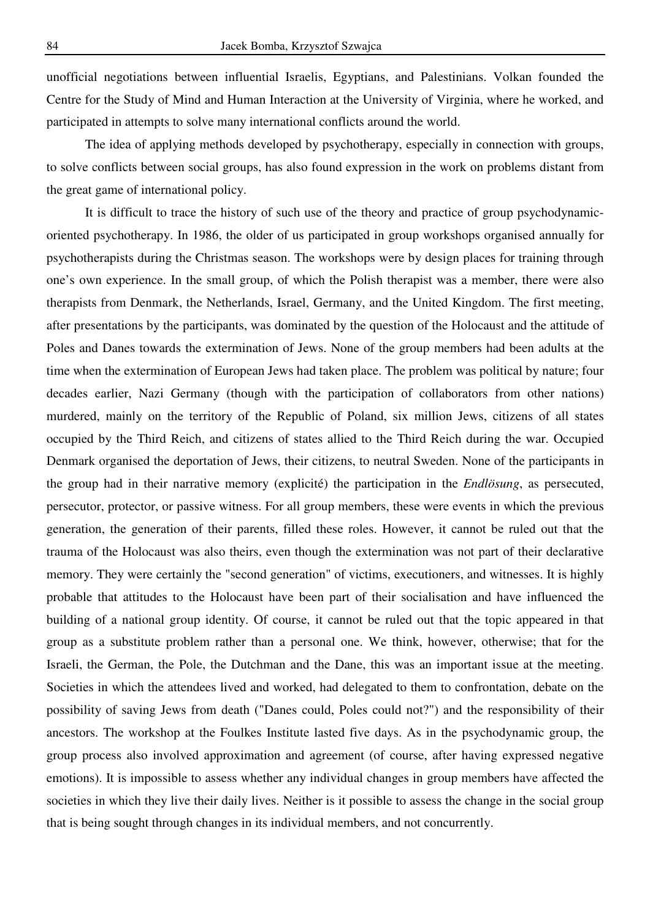unofficial negotiations between influential Israelis, Egyptians, and Palestinians. Volkan founded the Centre for the Study of Mind and Human Interaction at the University of Virginia, where he worked, and participated in attempts to solve many international conflicts around the world.

The idea of applying methods developed by psychotherapy, especially in connection with groups, to solve conflicts between social groups, has also found expression in the work on problems distant from the great game of international policy.

It is difficult to trace the history of such use of the theory and practice of group psychodynamicoriented psychotherapy. In 1986, the older of us participated in group workshops organised annually for psychotherapists during the Christmas season. The workshops were by design places for training through one's own experience. In the small group, of which the Polish therapist was a member, there were also therapists from Denmark, the Netherlands, Israel, Germany, and the United Kingdom. The first meeting, after presentations by the participants, was dominated by the question of the Holocaust and the attitude of Poles and Danes towards the extermination of Jews. None of the group members had been adults at the time when the extermination of European Jews had taken place. The problem was political by nature; four decades earlier, Nazi Germany (though with the participation of collaborators from other nations) murdered, mainly on the territory of the Republic of Poland, six million Jews, citizens of all states occupied by the Third Reich, and citizens of states allied to the Third Reich during the war. Occupied Denmark organised the deportation of Jews, their citizens, to neutral Sweden. None of the participants in the group had in their narrative memory (explicité) the participation in the *Endlösung*, as persecuted, persecutor, protector, or passive witness. For all group members, these were events in which the previous generation, the generation of their parents, filled these roles. However, it cannot be ruled out that the trauma of the Holocaust was also theirs, even though the extermination was not part of their declarative memory. They were certainly the "second generation" of victims, executioners, and witnesses. It is highly probable that attitudes to the Holocaust have been part of their socialisation and have influenced the building of a national group identity. Of course, it cannot be ruled out that the topic appeared in that group as a substitute problem rather than a personal one. We think, however, otherwise; that for the Israeli, the German, the Pole, the Dutchman and the Dane, this was an important issue at the meeting. Societies in which the attendees lived and worked, had delegated to them to confrontation, debate on the possibility of saving Jews from death ("Danes could, Poles could not?") and the responsibility of their ancestors. The workshop at the Foulkes Institute lasted five days. As in the psychodynamic group, the group process also involved approximation and agreement (of course, after having expressed negative emotions). It is impossible to assess whether any individual changes in group members have affected the societies in which they live their daily lives. Neither is it possible to assess the change in the social group that is being sought through changes in its individual members, and not concurrently.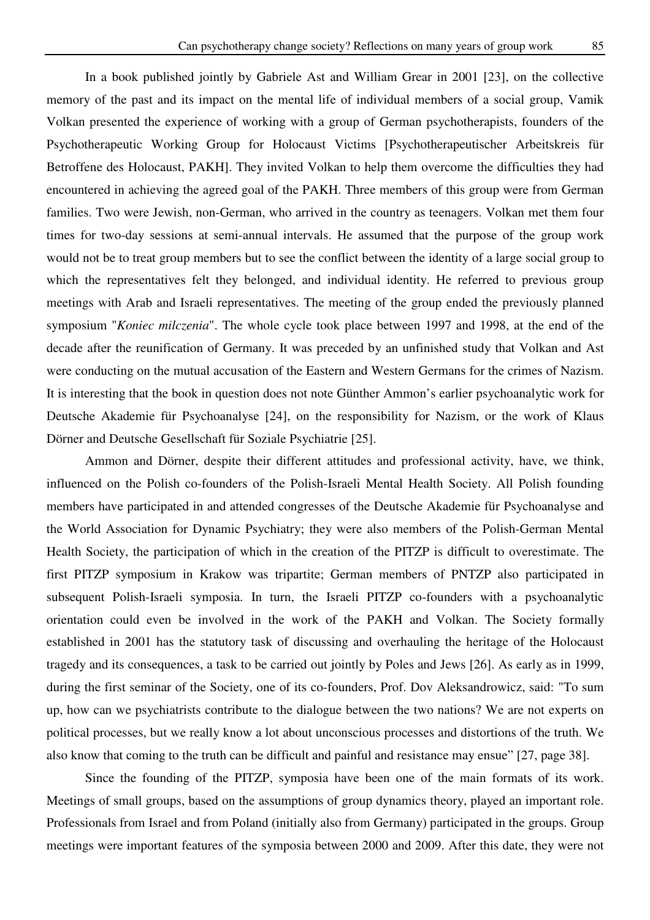In a book published jointly by Gabriele Ast and William Grear in 2001 [23], on the collective memory of the past and its impact on the mental life of individual members of a social group, Vamik Volkan presented the experience of working with a group of German psychotherapists, founders of the Psychotherapeutic Working Group for Holocaust Victims [Psychotherapeutischer Arbeitskreis für Betroffene des Holocaust, PAKH]. They invited Volkan to help them overcome the difficulties they had encountered in achieving the agreed goal of the PAKH. Three members of this group were from German families. Two were Jewish, non-German, who arrived in the country as teenagers. Volkan met them four times for two-day sessions at semi-annual intervals. He assumed that the purpose of the group work would not be to treat group members but to see the conflict between the identity of a large social group to which the representatives felt they belonged, and individual identity. He referred to previous group meetings with Arab and Israeli representatives. The meeting of the group ended the previously planned symposium "*Koniec milczenia*". The whole cycle took place between 1997 and 1998, at the end of the decade after the reunification of Germany. It was preceded by an unfinished study that Volkan and Ast were conducting on the mutual accusation of the Eastern and Western Germans for the crimes of Nazism. It is interesting that the book in question does not note Günther Ammon's earlier psychoanalytic work for Deutsche Akademie für Psychoanalyse [24], on the responsibility for Nazism, or the work of Klaus Dörner and Deutsche Gesellschaft für Soziale Psychiatrie [25].

Ammon and Dörner, despite their different attitudes and professional activity, have, we think, influenced on the Polish co-founders of the Polish-Israeli Mental Health Society. All Polish founding members have participated in and attended congresses of the Deutsche Akademie für Psychoanalyse and the World Association for Dynamic Psychiatry; they were also members of the Polish-German Mental Health Society, the participation of which in the creation of the PITZP is difficult to overestimate. The first PITZP symposium in Krakow was tripartite; German members of PNTZP also participated in subsequent Polish-Israeli symposia. In turn, the Israeli PITZP co-founders with a psychoanalytic orientation could even be involved in the work of the PAKH and Volkan. The Society formally established in 2001 has the statutory task of discussing and overhauling the heritage of the Holocaust tragedy and its consequences, a task to be carried out jointly by Poles and Jews [26]. As early as in 1999, during the first seminar of the Society, one of its co-founders, Prof. Dov Aleksandrowicz, said: "To sum up, how can we psychiatrists contribute to the dialogue between the two nations? We are not experts on political processes, but we really know a lot about unconscious processes and distortions of the truth. We also know that coming to the truth can be difficult and painful and resistance may ensue" [27, page 38].

Since the founding of the PITZP, symposia have been one of the main formats of its work. Meetings of small groups, based on the assumptions of group dynamics theory, played an important role. Professionals from Israel and from Poland (initially also from Germany) participated in the groups. Group meetings were important features of the symposia between 2000 and 2009. After this date, they were not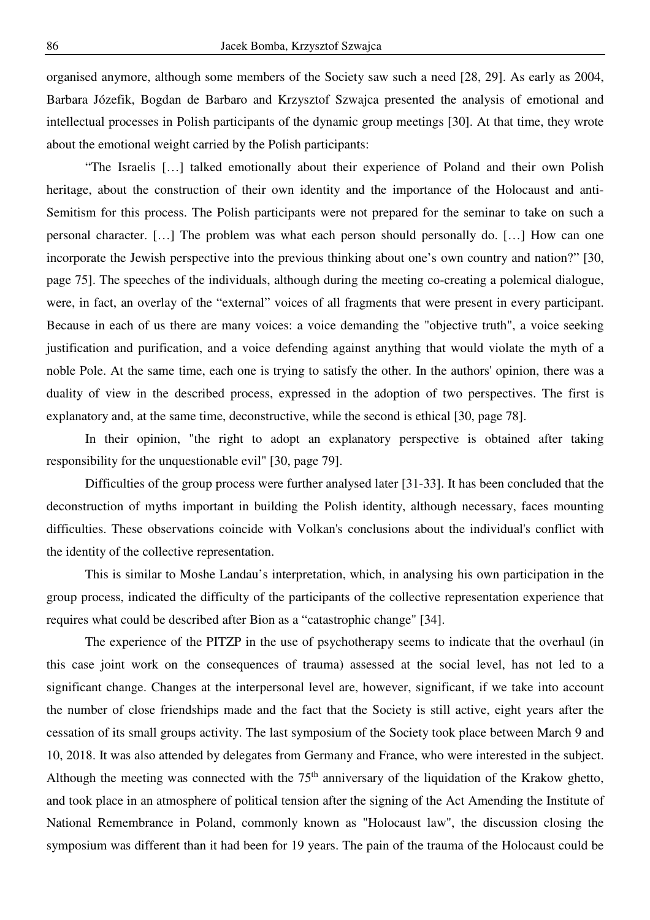organised anymore, although some members of the Society saw such a need [28, 29]. As early as 2004, Barbara Józefik, Bogdan de Barbaro and Krzysztof Szwajca presented the analysis of emotional and intellectual processes in Polish participants of the dynamic group meetings [30]. At that time, they wrote about the emotional weight carried by the Polish participants:

"The Israelis […] talked emotionally about their experience of Poland and their own Polish heritage, about the construction of their own identity and the importance of the Holocaust and anti-Semitism for this process. The Polish participants were not prepared for the seminar to take on such a personal character. […] The problem was what each person should personally do. […] How can one incorporate the Jewish perspective into the previous thinking about one's own country and nation?" [30, page 75]. The speeches of the individuals, although during the meeting co-creating a polemical dialogue, were, in fact, an overlay of the "external" voices of all fragments that were present in every participant. Because in each of us there are many voices: a voice demanding the "objective truth", a voice seeking justification and purification, and a voice defending against anything that would violate the myth of a noble Pole. At the same time, each one is trying to satisfy the other. In the authors' opinion, there was a duality of view in the described process, expressed in the adoption of two perspectives. The first is explanatory and, at the same time, deconstructive, while the second is ethical [30, page 78].

In their opinion, "the right to adopt an explanatory perspective is obtained after taking responsibility for the unquestionable evil" [30, page 79].

Difficulties of the group process were further analysed later [31-33]. It has been concluded that the deconstruction of myths important in building the Polish identity, although necessary, faces mounting difficulties. These observations coincide with Volkan's conclusions about the individual's conflict with the identity of the collective representation.

This is similar to Moshe Landau's interpretation, which, in analysing his own participation in the group process, indicated the difficulty of the participants of the collective representation experience that requires what could be described after Bion as a "catastrophic change" [34].

The experience of the PITZP in the use of psychotherapy seems to indicate that the overhaul (in this case joint work on the consequences of trauma) assessed at the social level, has not led to a significant change. Changes at the interpersonal level are, however, significant, if we take into account the number of close friendships made and the fact that the Society is still active, eight years after the cessation of its small groups activity. The last symposium of the Society took place between March 9 and 10, 2018. It was also attended by delegates from Germany and France, who were interested in the subject. Although the meeting was connected with the  $75<sup>th</sup>$  anniversary of the liquidation of the Krakow ghetto, and took place in an atmosphere of political tension after the signing of the Act Amending the Institute of National Remembrance in Poland, commonly known as "Holocaust law", the discussion closing the symposium was different than it had been for 19 years. The pain of the trauma of the Holocaust could be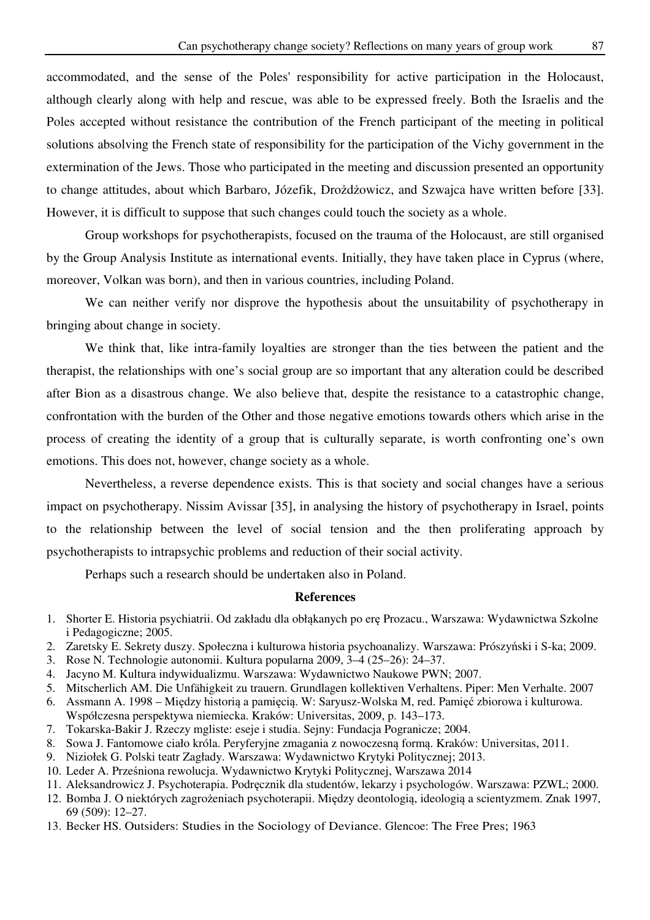accommodated, and the sense of the Poles' responsibility for active participation in the Holocaust, although clearly along with help and rescue, was able to be expressed freely. Both the Israelis and the Poles accepted without resistance the contribution of the French participant of the meeting in political solutions absolving the French state of responsibility for the participation of the Vichy government in the extermination of the Jews. Those who participated in the meeting and discussion presented an opportunity to change attitudes, about which Barbaro, Józefik, Drożdżowicz, and Szwajca have written before [33]. However, it is difficult to suppose that such changes could touch the society as a whole.

Group workshops for psychotherapists, focused on the trauma of the Holocaust, are still organised by the Group Analysis Institute as international events. Initially, they have taken place in Cyprus (where, moreover, Volkan was born), and then in various countries, including Poland.

We can neither verify nor disprove the hypothesis about the unsuitability of psychotherapy in bringing about change in society.

We think that, like intra-family loyalties are stronger than the ties between the patient and the therapist, the relationships with one's social group are so important that any alteration could be described after Bion as a disastrous change. We also believe that, despite the resistance to a catastrophic change, confrontation with the burden of the Other and those negative emotions towards others which arise in the process of creating the identity of a group that is culturally separate, is worth confronting one's own emotions. This does not, however, change society as a whole.

Nevertheless, a reverse dependence exists. This is that society and social changes have a serious impact on psychotherapy. Nissim Avissar [35], in analysing the history of psychotherapy in Israel, points to the relationship between the level of social tension and the then proliferating approach by psychotherapists to intrapsychic problems and reduction of their social activity.

Perhaps such a research should be undertaken also in Poland.

## **References**

- 1. Shorter E. Historia psychiatrii. Od zakładu dla obłąkanych po erę Prozacu., Warszawa: Wydawnictwa Szkolne i Pedagogiczne; 2005.
- 2. Zaretsky E. Sekrety duszy. Społeczna i kulturowa historia psychoanalizy. Warszawa: Prószyński i S-ka; 2009.
- 3. Rose N. Technologie autonomii. Kultura popularna 2009, 3–4 (25–26): 24–37.
- 4. Jacyno M. Kultura indywidualizmu. Warszawa: Wydawnictwo Naukowe PWN; 2007.
- 5. Mitscherlich AM. Die Unfähigkeit zu trauern. Grundlagen kollektiven Verhaltens. Piper: Men Verhalte. 2007
- 6. Assmann A. 1998 Między historią a pamięcią. W: Saryusz-Wolska M, red. Pamięć zbiorowa i kulturowa. Współczesna perspektywa niemiecka. Kraków: Universitas, 2009, p. 143–173.
- 7. Tokarska-Bakir J. Rzeczy mgliste: eseje i studia. Sejny: Fundacja Pogranicze; 2004.
- 8. Sowa J. Fantomowe ciało króla. Peryferyjne zmagania z nowoczesną formą. Kraków: Universitas, 2011.
- 9. Niziołek G. Polski teatr Zagłady. Warszawa: Wydawnictwo Krytyki Politycznej; 2013.
- 10. Leder A. Prześniona rewolucja. Wydawnictwo Krytyki Politycznej, Warszawa 2014
- 11. Aleksandrowicz J. Psychoterapia. Podręcznik dla studentów, lekarzy i psychologów. Warszawa: PZWL; 2000.
- 12. Bomba J. O niektórych zagrożeniach psychoterapii. Między deontologią, ideologią a scientyzmem. Znak 1997, 69 (509): 12–27.
- 13. Becker HS. Outsiders: Studies in the Sociology of Deviance. Glencoe: The Free Pres; 1963